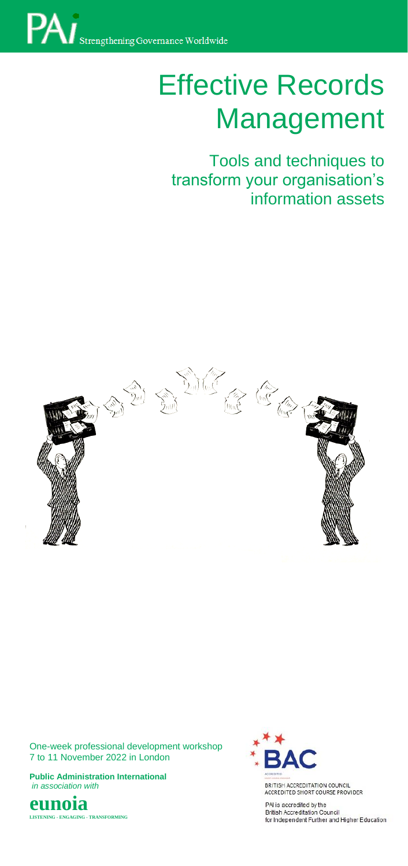

# Effective Records Management

I ools and techniques to<br>transform your organisation's information assets Tools and techniques to



One-week professional development workshop 7 to 11 November 2022 in London

**Public Administration International** *in association with*





BRITISH ACCREDITATION COUNCIL<br>ACCREDITED SHORT COURSE PROVIDER

PAI is accredited by the<br>British Accreditation Council<br>for Independent Further and Higher Education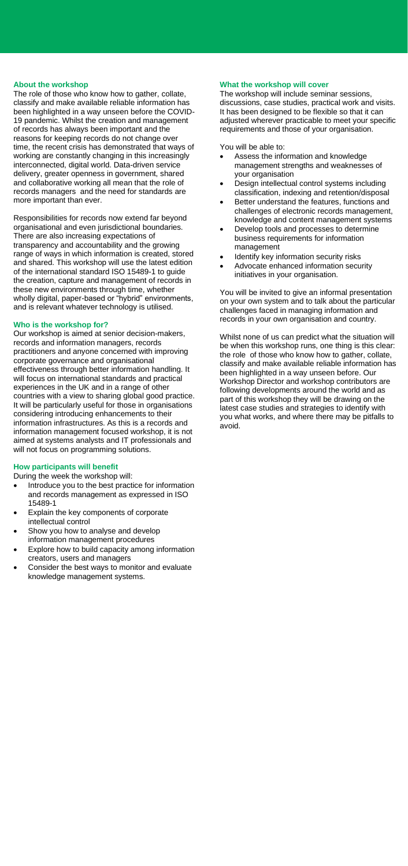## **About the workshop**

The role of those who know how to gather, collate, classify and make available reliable information has been highlighted in a way unseen before the COVID-19 pandemic. Whilst the creation and management of records has always been important and the reasons for keeping records do not change over time, the recent crisis has demonstrated that ways of working are constantly changing in this increasingly interconnected, digital world. Data-driven service delivery, greater openness in government, shared and collaborative working all mean that the role of records managers and the need for standards are more important than ever.

Responsibilities for records now extend far beyond organisational and even jurisdictional boundaries. There are also increasing expectations of transparency and accountability and the growing range of ways in which information is created, stored and shared. This workshop will use the latest edition of the international standard ISO 15489-1 to guide the creation, capture and management of records in these new environments through time, whether wholly digital, paper-based or "hybrid" environments, and is relevant whatever technology is utilised.

## **Who is the workshop for?**

Our workshop is aimed at senior decision-makers, records and information managers, records practitioners and anyone concerned with improving corporate governance and organisational effectiveness through better information handling. It will focus on international standards and practical experiences in the UK and in a range of other countries with a view to sharing global good practice. It will be particularly useful for those in organisations considering introducing enhancements to their information infrastructures. As this is a records and information management focused workshop, it is not aimed at systems analysts and IT professionals and will not focus on programming solutions.

#### **How participants will benefit**

During the week the workshop will:

- Introduce you to the best practice for information and records management as expressed in ISO 15489-1
- Explain the key components of corporate intellectual control
- Show you how to analyse and develop
- information management procedures Explore how to build capacity among information
- creators, users and managers Consider the best ways to monitor and evaluate
- knowledge management systems.

# **What the workshop will cover**

The workshop will include seminar sessions, discussions, case studies, practical work and visits. It has been designed to be flexible so that it can adjusted wherever practicable to meet your specific requirements and those of your organisation.

You will be able to:

- Assess the information and knowledge management strengths and weaknesses of your organisation
- Design intellectual control systems including classification, indexing and retention/disposal
- Better understand the features, functions and challenges of electronic records management, knowledge and content management systems
- Develop tools and processes to determine business requirements for information management
- Identify key information security risks
- Advocate enhanced information security initiatives in your organisation.

You will be invited to give an informal presentation on your own system and to talk about the particular challenges faced in managing information and records in your own organisation and country.

Whilst none of us can predict what the situation will be when this workshop runs, one thing is this clear: the role of those who know how to gather, collate, classify and make available reliable information has been highlighted in a way unseen before. Our Workshop Director and workshop contributors are following developments around the world and as part of this workshop they will be drawing on the latest case studies and strategies to identify with you what works, and where there may be pitfalls to avoid.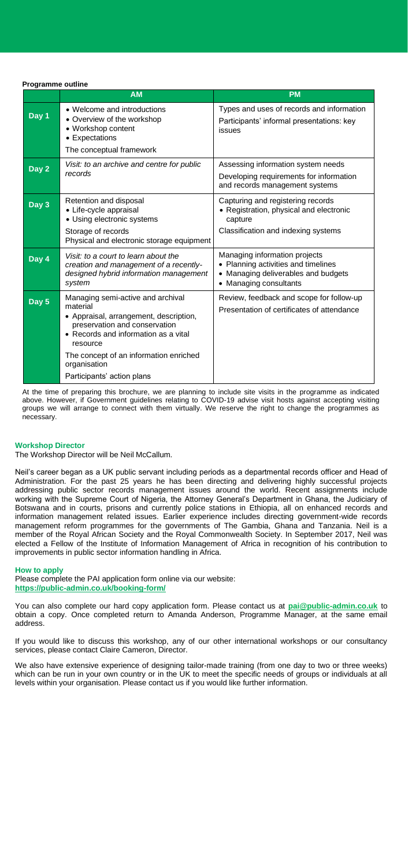**Programme outline**

|       | <b>AM</b>                                                                                                                                                                    | <b>PM</b>                                                                                                                             |
|-------|------------------------------------------------------------------------------------------------------------------------------------------------------------------------------|---------------------------------------------------------------------------------------------------------------------------------------|
| Day 1 | • Welcome and introductions<br>• Overview of the workshop<br>• Workshop content<br>• Expectations<br>The conceptual framework                                                | Types and uses of records and information<br>Participants' informal presentations: key<br>issues                                      |
| Day 2 | Visit: to an archive and centre for public<br>records                                                                                                                        | Assessing information system needs<br>Developing requirements for information<br>and records management systems                       |
| Day 3 | Retention and disposal<br>• Life-cycle appraisal<br>• Using electronic systems<br>Storage of records<br>Physical and electronic storage equipment                            | Capturing and registering records<br>• Registration, physical and electronic<br>capture<br>Classification and indexing systems        |
| Day 4 | Visit: to a court to learn about the<br>creation and management of a recently-<br>designed hybrid information management<br>system                                           | Managing information projects<br>• Planning activities and timelines<br>• Managing deliverables and budgets<br>• Managing consultants |
| Day 5 | Managing semi-active and archival<br>material<br>• Appraisal, arrangement, description,<br>preservation and conservation<br>• Records and information as a vital<br>resource | Review, feedback and scope for follow-up<br>Presentation of certificates of attendance                                                |
|       | The concept of an information enriched<br>organisation<br>Participants' action plans                                                                                         |                                                                                                                                       |

At the time of preparing this brochure, we are planning to include site visits in the programme as indicated above. However, if Government guidelines relating to COVID-19 advise visit hosts against accepting visiting groups we will arrange to connect with them virtually. We reserve the right to change the programmes as necessary.

## **Workshop Director**

The Workshop Director will be Neil McCallum.

Neil's career began as a UK public servant including periods as a departmental records officer and Head of Administration. For the past 25 years he has been directing and delivering highly successful projects addressing public sector records management issues around the world. Recent assignments include working with the Supreme Court of Nigeria, the Attorney General's Department in Ghana, the Judiciary of Botswana and in courts, prisons and currently police stations in Ethiopia, all on enhanced records and information management related issues. Earlier experience includes directing government-wide records management reform programmes for the governments of The Gambia, Ghana and Tanzania. Neil is a member of the Royal African Society and the Royal Commonwealth Society. In September 2017, Neil was elected a Fellow of the Institute of Information Management of Africa in recognition of his contribution to improvements in public sector information handling in Africa.

**How to apply** 

Please complete the PAI application form online via our website: **<https://public-admin.co.uk/booking-form/>**

You can also complete our hard copy application form. Please contact us at **[pai@public-admin.co.uk](mailto:pai@public-admin.co.uk)** to obtain a copy. Once completed return to Amanda Anderson, Programme Manager, at the same email address.

If you would like to discuss this workshop, any of our other international workshops or our consultancy services, please contact Claire Cameron, Director.

We also have extensive experience of designing tailor-made training (from one day to two or three weeks) which can be run in your own country or in the UK to meet the specific needs of groups or individuals at all levels within your organisation. Please contact us if you would like further information.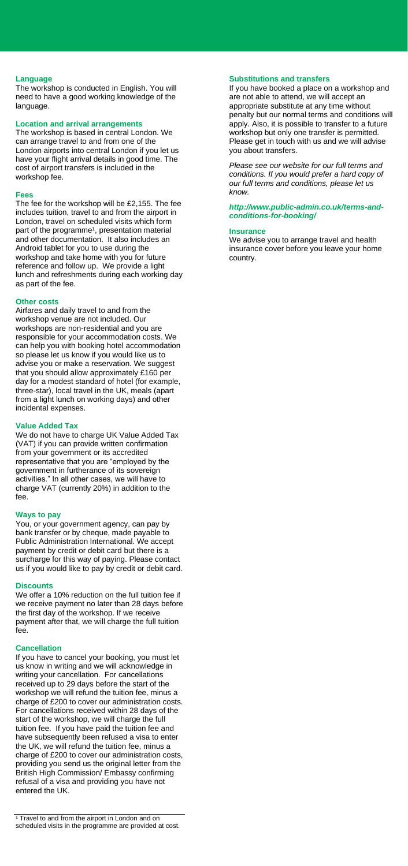## **Language**

The workshop is conducted in English. You will need to have a good working knowledge of the language.

## **Location and arrival arrangements**

The workshop is based in central London. We can arrange travel to and from one of the London airports into central London if you let us have your flight arrival details in good time. The cost of airport transfers is included in the workshop fee.

#### **Fees**

The fee for the workshop will be £2,155. The fee includes tuition, travel to and from the airport in London, travel on scheduled visits which form part of the programme<sup>1</sup>, presentation material and other documentation. It also includes an Android tablet for you to use during the workshop and take home with you for future reference and follow up. We provide a light lunch and refreshments during each working day as part of the fee.

#### **Other costs**

Airfares and daily travel to and from the workshop venue are not included. Our workshops are non-residential and you are responsible for your accommodation costs. We can help you with booking hotel accommodation so please let us know if you would like us to advise you or make a reservation. We suggest that you should allow approximately £160 per day for a modest standard of hotel (for example, three-star), local travel in the UK, meals (apart from a light lunch on working days) and other incidental expenses.

#### **Value Added Tax**

We do not have to charge UK Value Added Tax (VAT) if you can provide written confirmation from your government or its accredited representative that you are "employed by the government in furtherance of its sovereign activities." In all other cases, we will have to charge VAT (currently 20%) in addition to the fee.

#### **Ways to pay**

You, or your government agency, can pay by bank transfer or by cheque, made payable to Public Administration International. We accept payment by credit or debit card but there is a surcharge for this way of paying. Please contact us if you would like to pay by credit or debit card.

#### **Discounts**

We offer a 10% reduction on the full tuition fee if we receive payment no later than 28 days before the first day of the workshop. If we receive payment after that, we will charge the full tuition fee.

#### **Cancellation**

If you have to cancel your booking, you must let us know in writing and we will acknowledge in writing your cancellation. For cancellations received up to 29 days before the start of the workshop we will refund the tuition fee, minus a charge of £200 to cover our administration costs. For cancellations received within 28 days of the start of the workshop, we will charge the full tuition fee. If you have paid the tuition fee and have subsequently been refused a visa to enter the UK, we will refund the tuition fee, minus a charge of £200 to cover our administration costs, providing you send us the original letter from the British High Commission/ Embassy confirming refusal of a visa and providing you have not entered the UK.

# **Substitutions and transfers**

If you have booked a place on a workshop and are not able to attend, we will accept an appropriate substitute at any time without penalty but our normal terms and conditions will apply. Also, it is possible to transfer to a future workshop but only one transfer is permitted. Please get in touch with us and we will advise you about transfers.

*Please see our website for our full terms and conditions. If you would prefer a hard copy of our full terms and conditions, please let us know.* 

#### *http://www.public-admin.co.uk/terms-andconditions-for-booking/*

#### **Insurance**

We advise you to arrange travel and health insurance cover before you leave your home country.

<sup>&</sup>lt;sup>1</sup> Travel to and from the airport in London and on scheduled visits in the programme are provided at cost.